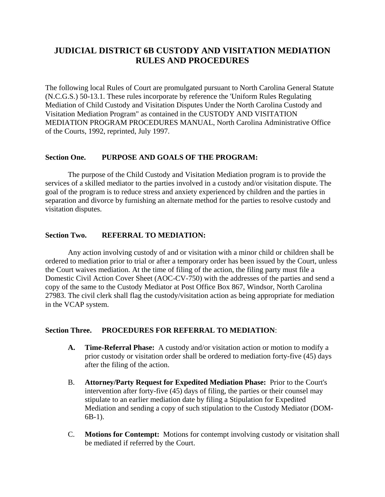# **JUDICIAL DISTRICT 6B CUSTODY AND VISITATION MEDIATION RULES AND PROCEDURES**

The following local Rules of Court are promulgated pursuant to North Carolina General Statute (N.C.G.S.) 50-13.1. These rules incorporate by reference the 'Uniform Rules Regulating Mediation of Child Custody and Visitation Disputes Under the North Carolina Custody and Visitation Mediation Program" as contained in the CUSTODY AND VISITATION MEDIATION PROGRAM PROCEDURES MANUAL, North Carolina Administrative Office of the Courts, 1992, reprinted, July 1997.

## **Section One. PURPOSE AND GOALS OF THE PROGRAM:**

 The purpose of the Child Custody and Visitation Mediation program is to provide the services of a skilled mediator to the parties involved in a custody and/or visitation dispute. The goal of the program is to reduce stress and anxiety experienced by children and the parties in separation and divorce by furnishing an alternate method for the parties to resolve custody and visitation disputes.

### **Section Two. REFERRAL TO MEDIATION:**

 Any action involving custody of and or visitation with a minor child or children shall be ordered to mediation prior to trial or after a temporary order has been issued by the Court, unless the Court waives mediation. At the time of filing of the action, the filing party must file a Domestic Civil Action Cover Sheet (AOC-CV-750) with the addresses of the parties and send a copy of the same to the Custody Mediator at Post Office Box 867, Windsor, North Carolina 27983. The civil clerk shall flag the custody/visitation action as being appropriate for mediation in the VCAP system.

### **Section Three. PROCEDURES FOR REFERRAL TO MEDIATION**:

- **A. Time-Referral Phase:** A custody and/or visitation action or motion to modify a prior custody or visitation order shall be ordered to mediation forty-five (45) days after the filing of the action.
- B. **Attorney/Party Request for Expedited Mediation Phase:** Prior to the Court's intervention after forty-five (45) days of filing, the parties or their counsel may stipulate to an earlier mediation date by filing a Stipulation for Expedited Mediation and sending a copy of such stipulation to the Custody Mediator (DOM-6B-1).
- C. **Motions for Contempt:** Motions for contempt involving custody or visitation shall be mediated if referred by the Court.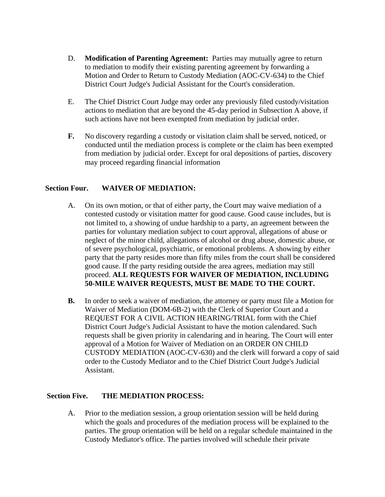- D. **Modification of Parenting Agreement:** Parties may mutually agree to return to mediation to modify their existing parenting agreement by forwarding a Motion and Order to Return to Custody Mediation (AOC-CV-634) to the Chief District Court Judge's Judicial Assistant for the Court's consideration.
- E. The Chief District Court Judge may order any previously filed custody/visitation actions to mediation that are beyond the 45-day period in Subsection A above, if such actions have not been exempted from mediation by judicial order.
- **F.** No discovery regarding a custody or visitation claim shall be served, noticed, or conducted until the mediation process is complete or the claim has been exempted from mediation by judicial order. Except for oral depositions of parties, discovery may proceed regarding financial information

## **Section Four. WAIVER OF MEDIATION:**

- A. On its own motion, or that of either party, the Court may waive mediation of a contested custody or visitation matter for good cause. Good cause includes, but is not limited to, a showing of undue hardship to a party, an agreement between the parties for voluntary mediation subject to court approval, allegations of abuse or neglect of the minor child, allegations of alcohol or drug abuse, domestic abuse, or of severe psychological, psychiatric, or emotional problems. A showing by either party that the party resides more than fifty miles from the court shall be considered good cause. If the party residing outside the area agrees, mediation may still proceed. **ALL REQUESTS FOR WAIVER OF MEDIATION, INCLUDING 50-MILE WAIVER REQUESTS, MUST BE MADE TO THE COURT.**
- **B.** In order to seek a waiver of mediation, the attorney or party must file a Motion for Waiver of Mediation (DOM-6B-2) with the Clerk of Superior Court and a REQUEST FOR A CIVIL ACTION HEARING/TRIAL form with the Chief District Court Judge's Judicial Assistant to have the motion calendared. Such requests shall be given priority in calendaring and in hearing. The Court will enter approval of a Motion for Waiver of Mediation on an ORDER ON CHILD CUSTODY MEDIATION (AOC-CV-630) and the clerk will forward a copy of said order to the Custody Mediator and to the Chief District Court Judge's Judicial Assistant.

### **Section Five. THE MEDIATION PROCESS:**

A. Prior to the mediation session, a group orientation session will be held during which the goals and procedures of the mediation process will be explained to the parties. The group orientation will be held on a regular schedule maintained in the Custody Mediator's office. The parties involved will schedule their private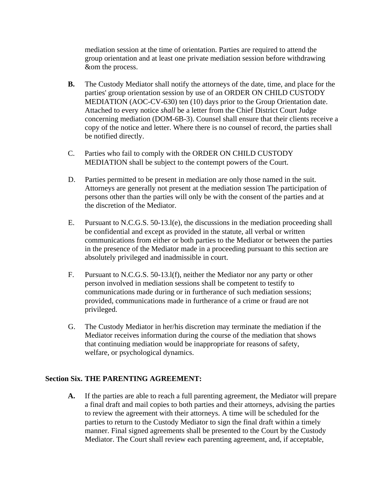mediation session at the time of orientation. Parties are required to attend the group orientation and at least one private mediation session before withdrawing &om the process.

- **B.** The Custody Mediator shall notify the attorneys of the date, time, and place for the parties' group orientation session by use of an ORDER ON CHILD CUSTODY MEDIATION (AOC-CV-630) ten (10) days prior to the Group Orientation date. Attached to every notice *shall* be a letter from the Chief District Court Judge concerning mediation (DOM-6B-3). Counsel shall ensure that their clients receive a copy of the notice and letter. Where there is no counsel of record, the parties shall be notified directly.
- C. Parties who fail to comply with the ORDER ON CHILD CUSTODY MEDIATION shall be subject to the contempt powers of the Court.
- D. Parties permitted to be present in mediation are only those named in the suit. Attorneys are generally not present at the mediation session The participation of persons other than the parties will only be with the consent of the parties and at the discretion of the Mediator.
- E. Pursuant to N.C.G.S. 50-13.l(e), the discussions in the mediation proceeding shall be confidential and except as provided in the statute, all verbal or written communications from either or both parties to the Mediator or between the parties in the presence of the Mediator made in a proceeding pursuant to this section are absolutely privileged and inadmissible in court.
- F. Pursuant to N.C.G.S. 50-13.l(f), neither the Mediator nor any party or other person involved in mediation sessions shall be competent to testify to communications made during or in furtherance of such mediation sessions; provided, communications made in furtherance of a crime or fraud are not privileged.
- G. The Custody Mediator in her/his discretion may terminate the mediation if the Mediator receives information during the course of the mediation that shows that continuing mediation would be inappropriate for reasons of safety, welfare, or psychological dynamics.

## **Section Six. THE PARENTING AGREEMENT:**

**A.** If the parties are able to reach a full parenting agreement, the Mediator will prepare a final draft and mail copies to both parties and their attorneys, advising the parties to review the agreement with their attorneys. A time will be scheduled for the parties to return to the Custody Mediator to sign the final draft within a timely manner. Final signed agreements shall be presented to the Court by the Custody Mediator. The Court shall review each parenting agreement, and, if acceptable,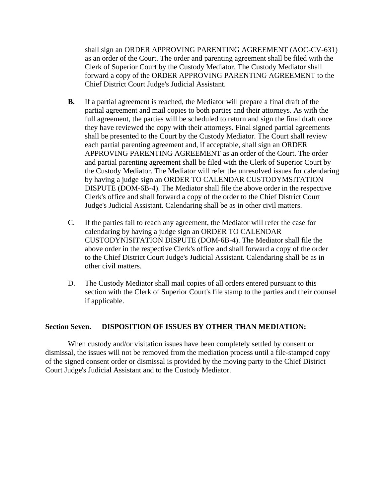shall sign an ORDER APPROVING PARENTING AGREEMENT (AOC-CV-631) as an order of the Court. The order and parenting agreement shall be filed with the Clerk of Superior Court by the Custody Mediator. The Custody Mediator shall forward a copy of the ORDER APPROVING PARENTING AGREEMENT to the Chief District Court Judge's Judicial Assistant.

- **B.** If a partial agreement is reached, the Mediator will prepare a final draft of the partial agreement and mail copies to both parties and their attorneys. As with the full agreement, the parties will be scheduled to return and sign the final draft once they have reviewed the copy with their attorneys. Final signed partial agreements shall be presented to the Court by the Custody Mediator. The Court shall review each partial parenting agreement and, if acceptable, shall sign an ORDER APPROVING PARENTING AGREEMENT as an order of the Court. The order and partial parenting agreement shall be filed with the Clerk of Superior Court by the Custody Mediator. The Mediator will refer the unresolved issues for calendaring by having a judge sign an ORDER TO CALENDAR CUSTODYMSITATION DISPUTE (DOM-6B-4). The Mediator shall file the above order in the respective Clerk's office and shall forward a copy of the order to the Chief District Court Judge's Judicial Assistant. Calendaring shall be as in other civil matters.
- C. If the parties fail to reach any agreement, the Mediator will refer the case for calendaring by having a judge sign an ORDER TO CALENDAR CUSTODYNISITATION DISPUTE (DOM-6B-4). The Mediator shall file the above order in the respective Clerk's office and shall forward a copy of the order to the Chief District Court Judge's Judicial Assistant. Calendaring shall be as in other civil matters.
- D. The Custody Mediator shall mail copies of all orders entered pursuant to this section with the Clerk of Superior Court's file stamp to the parties and their counsel if applicable.

### **Section Seven. DISPOSITION OF ISSUES BY OTHER THAN MEDIATION:**

When custody and/or visitation issues have been completely settled by consent or dismissal, the issues will not be removed from the mediation process until a file-stamped copy of the signed consent order or dismissal is provided by the moving party to the Chief District Court Judge's Judicial Assistant and to the Custody Mediator.